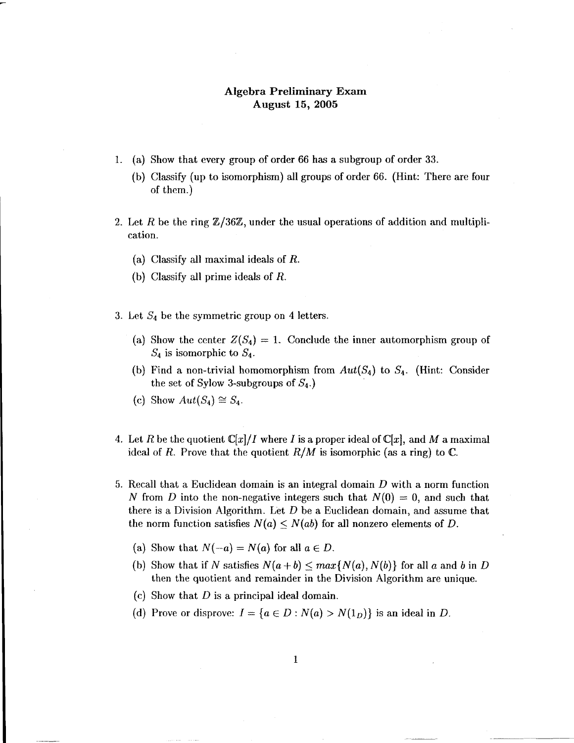## Algebra Preliminary Exam August 15, 2005

- 1. (a) Show that every group of order 66 has a subgroup of order 33.
	- (b) Classify (up to isomorphism) all groups of order 66- (Hint: There are four of them.)
- 2. Let R be the ring  $\mathbb{Z}/36\mathbb{Z}$ , under the usual operations of addition and multiplication.
	- (a) Classify all maximal ideals of B.
	- (b) Classify all prime ideals of  $R$ .
- 3. Let  $S_4$  be the symmetric group on 4 letters.
	- (a) Show the center  $Z(S_4) = 1$ . Conclude the inner automorphism group of  $S_4$  is isomorphic to  $S_4$ .
	- (b) Find a non-trivial homomorphism from  $Aut(S_4)$  to  $S_4$ . (Hint: Consider the set of Sylow 3-subgroups of  $S_4$ .)
	- (c) Show  $Aut(S_4) \cong S_4$ .
- 4. Let R be the quotient  $\mathbb{C}[x]/I$  where I is a proper ideal of  $\mathbb{C}[x]$ , and M a maximal ideal of R. Prove that the quotient  $R/M$  is isomorphic (as a ring) to C.
- 5. Recall that a Euclidean domain is an integral domain D with a norm function N from D into the non-negative integers such that  $N(0) = 0$ , and such that there is a Division Algorithm. Let  $D$  be a Euclidean domain, and assume that the norm function satisfies  $N(a) \leq N(ab)$  for all nonzero elements of D.
	- (a) Show that  $N(-a) = N(a)$  for all  $a \in D$ .
	- (b) Show that if N satisfies  $N(a + b) \leq max\{N(a), N(b)\}\$ for all a and b in D then the quotient and remainder in the Division Algorithm are unique.
	- (c) Show that  $D$  is a principal ideal domain.
	- (d) Prove or disprove:  $I = \{a \in D : N(a) > N(1_D)\}$  is an ideal in D.